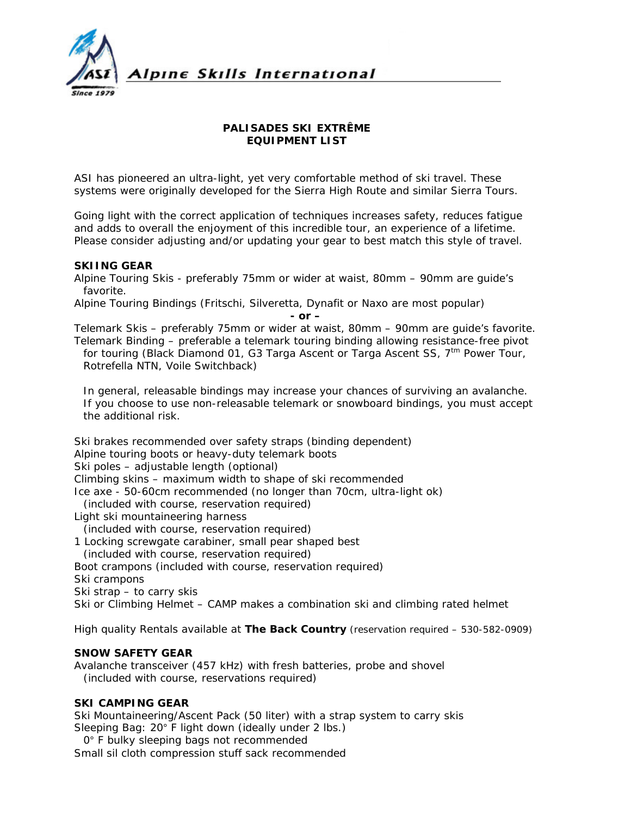

### **PALISADES SKI EXTRÊME EQUIPMENT LIST**

ASI has pioneered an ultra-light, yet very comfortable method of ski travel. These systems were originally developed for the Sierra High Route and similar Sierra Tours.

Going light with the correct application of techniques increases safety, reduces fatigue and adds to overall the enjoyment of this incredible tour, an experience of a lifetime. Please consider adjusting and/or updating your gear to best match this style of travel.

### **SKIING GEAR**

Alpine Touring Skis - preferably 75mm or wider at waist, 80mm – 90mm are guide's favorite.

Alpine Touring Bindings (Fritschi, Silveretta, Dynafit or Naxo are most popular) *- or –* 

Telemark Skis – preferably 75mm or wider at waist, 80mm – 90mm are guide's favorite. Telemark Binding – preferable a telemark touring binding allowing resistance-free pivot for touring (Black Diamond 01, G3 Targa Ascent or Targa Ascent SS,  $7<sup>tm</sup>$  Power Tour, Rotrefella NTN, Voile Switchback)

*In general, releasable bindings may increase your chances of surviving an avalanche. If you choose to use non-releasable telemark or snowboard bindings, you must accept the additional risk.* 

Ski brakes recommended over safety straps (binding dependent) Alpine touring boots or heavy-duty telemark boots Ski poles – adjustable length (optional) Climbing skins – maximum width to shape of ski recommended Ice axe - 50-60cm recommended (no longer than 70cm, ultra-light ok) *(included with course, reservation required)* Light ski mountaineering harness *(included with course, reservation required)*  1 Locking screwgate carabiner, small pear shaped best

*(included with course, reservation required)* 

Boot crampons *(included with course, reservation required)* 

Ski crampons

Ski strap – to carry skis

Ski or Climbing Helmet – CAMP makes a combination ski and climbing rated helmet

*High quality Rentals available at The Back Country (reservation required – 530-582-0909)* 

### **SNOW SAFETY GEAR**

Avalanche transceiver (457 kHz) with fresh batteries, probe and shovel *(included with course, reservations required)* 

# **SKI CAMPING GEAR**

Ski Mountaineering/Ascent Pack (50 liter) with a strap system to carry skis Sleeping Bag: 20° F light down (ideally under 2 lbs.) 0° F bulky sleeping bags not recommended

Small sil cloth compression stuff sack recommended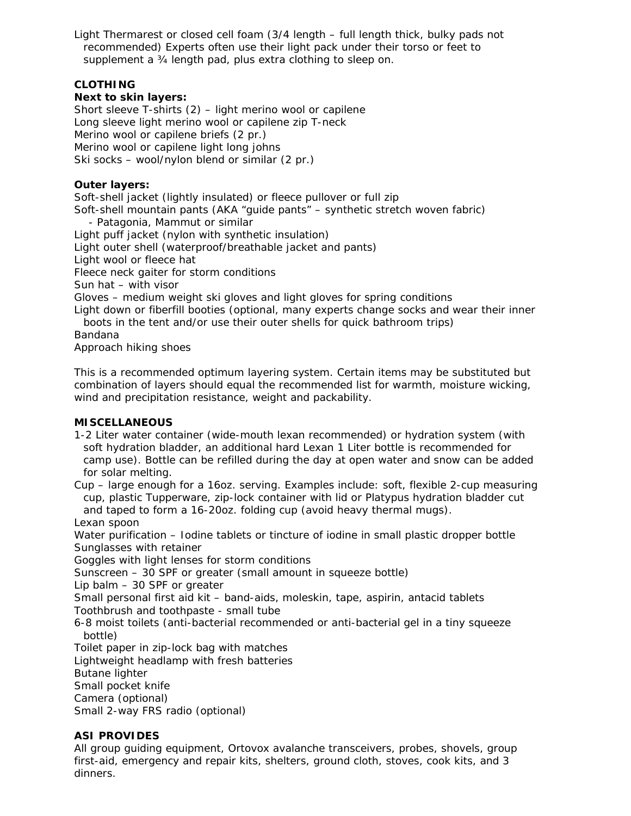Light Thermarest or closed cell foam (3/4 length – full length thick, bulky pads not recommended) Experts often use their light pack under their torso or feet to supplement a ¾ length pad, plus extra clothing to sleep on.

# **CLOTHING**

### **Next to skin layers:**

Short sleeve T-shirts (2) – light merino wool or capilene Long sleeve light merino wool or capilene zip T-neck Merino wool or capilene briefs (2 pr.) Merino wool or capilene light long johns Ski socks – wool/nylon blend or similar (2 pr.)

### **Outer layers:**

Soft-shell jacket (lightly insulated) or fleece pullover or full zip Soft-shell mountain pants (AKA "guide pants" – synthetic stretch woven fabric) - Patagonia, Mammut or similar Light puff jacket (nylon with synthetic insulation) Light outer shell (waterproof/breathable jacket and pants) Light wool or fleece hat Fleece neck gaiter for storm conditions Sun hat – with visor Gloves – medium weight ski gloves and light gloves for spring conditions Light down or fiberfill booties (optional, many experts change socks and wear their inner boots in the tent and/or use their outer shells for quick bathroom trips) Bandana Approach hiking shoes

*This is a recommended optimum layering system. Certain items may be substituted but combination of layers should equal the recommended list for warmth, moisture wicking, wind and precipitation resistance, weight and packability.* 

### **MISCELLANEOUS**

1-2 Liter water container (wide-mouth lexan recommended) or hydration system (with soft hydration bladder, an additional hard Lexan 1 Liter bottle is recommended for camp use). Bottle can be refilled during the day at open water and snow can be added for solar melting.

Cup – large enough for a 16oz. serving. Examples include: soft, flexible 2-cup measuring cup, plastic Tupperware, zip-lock container with lid or Platypus hydration bladder cut and taped to form a 16-20oz. folding cup (avoid heavy thermal mugs).

Lexan spoon

Water purification – Iodine tablets or tincture of iodine in small plastic dropper bottle Sunglasses with retainer

Goggles with light lenses for storm conditions

Sunscreen – 30 SPF or greater (small amount in squeeze bottle)

Lip balm – 30 SPF or greater

Small personal first aid kit – band-aids, moleskin, tape, aspirin, antacid tablets Toothbrush and toothpaste - small tube

6-8 moist toilets (anti-bacterial recommended or anti-bacterial gel in a tiny squeeze bottle)

Toilet paper in zip-lock bag with matches

Lightweight headlamp with fresh batteries

Butane lighter

Small pocket knife

Camera (optional)

Small 2-way FRS radio (optional)

# **ASI PROVIDES**

All group guiding equipment, Ortovox avalanche transceivers, probes, shovels, group first-aid, emergency and repair kits, shelters, ground cloth, stoves, cook kits, and 3 dinners.